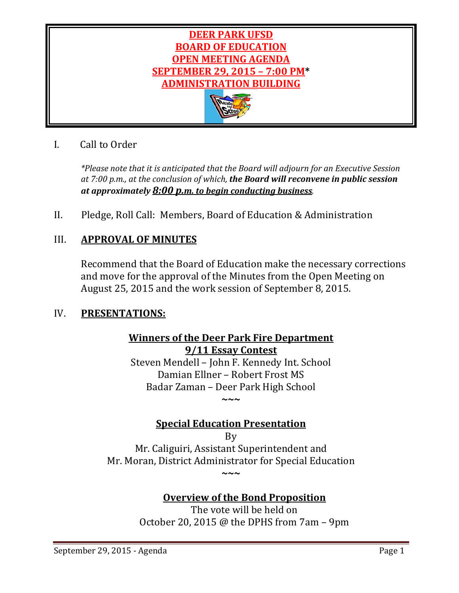

# I. Call to Order

*\*Please note that it is anticipated that the Board will adjourn for an Executive Session at 7:00 p.m., at the conclusion of which, the Board will reconvene in public session at approximately 8:00 p.m. to begin conducting business.*

II. Pledge, Roll Call: Members, Board of Education & Administration

# III. **APPROVAL OF MINUTES**

Recommend that the Board of Education make the necessary corrections and move for the approval of the Minutes from the Open Meeting on August 25, 2015 and the work session of September 8, 2015.

# IV. **PRESENTATIONS:**

# **Winners of the Deer Park Fire Department 9/11 Essay Contest**

Steven Mendell – John F. Kennedy Int. School Damian Ellner – Robert Frost MS Badar Zaman – Deer Park High School **~~~**

# **Special Education Presentation**

By Mr. Caliguiri, Assistant Superintendent and Mr. Moran, District Administrator for Special Education **~~~**

# **Overview of the Bond Proposition**

The vote will be held on October 20, 2015 @ the DPHS from 7am – 9pm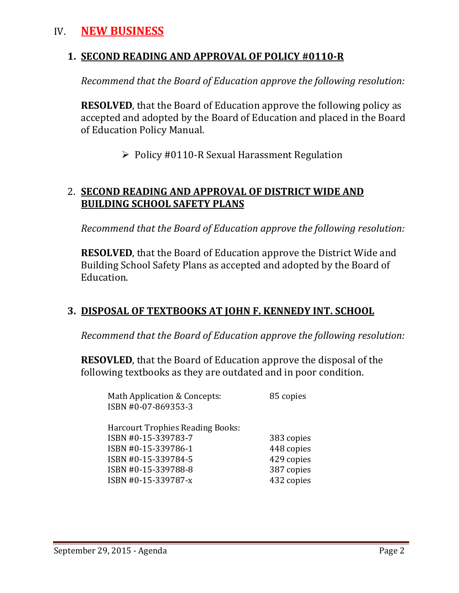# IV. **NEW BUSINESS**

# **1. SECOND READING AND APPROVAL OF POLICY #0110-R**

*Recommend that the Board of Education approve the following resolution:*

**RESOLVED**, that the Board of Education approve the following policy as accepted and adopted by the Board of Education and placed in the Board of Education Policy Manual.

 $\triangleright$  Policy #0110-R Sexual Harassment Regulation

# 2. **SECOND READING AND APPROVAL OF DISTRICT WIDE AND BUILDING SCHOOL SAFETY PLANS**

*Recommend that the Board of Education approve the following resolution:*

**RESOLVED**, that the Board of Education approve the District Wide and Building School Safety Plans as accepted and adopted by the Board of Education.

# **3. DISPOSAL OF TEXTBOOKS AT JOHN F. KENNEDY INT. SCHOOL**

*Recommend that the Board of Education approve the following resolution:*

**RESOVLED**, that the Board of Education approve the disposal of the following textbooks as they are outdated and in poor condition.

| Math Application & Concepts:<br>ISBN #0-07-869353-3 | 85 copies  |
|-----------------------------------------------------|------------|
| <b>Harcourt Trophies Reading Books:</b>             |            |
| ISBN #0-15-339783-7                                 | 383 copies |
| ISBN #0-15-339786-1                                 | 448 copies |
| ISBN #0-15-339784-5                                 | 429 copies |
| ISBN #0-15-339788-8                                 | 387 copies |
| ISBN #0-15-339787-x                                 | 432 copies |
|                                                     |            |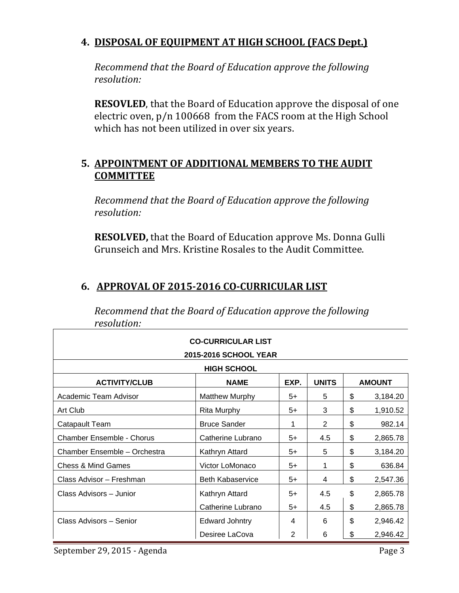# **4. DISPOSAL OF EQUIPMENT AT HIGH SCHOOL (FACS Dept.)**

*Recommend that the Board of Education approve the following resolution:*

**RESOVLED**, that the Board of Education approve the disposal of one electric oven, p/n 100668 from the FACS room at the High School which has not been utilized in over six years.

# **5. APPOINTMENT OF ADDITIONAL MEMBERS TO THE AUDIT COMMITTEE**

*Recommend that the Board of Education approve the following resolution:*

**RESOLVED,** that the Board of Education approve Ms. Donna Gulli Grunseich and Mrs. Kristine Rosales to the Audit Committee.

# **6. APPROVAL OF 2015-2016 CO-CURRICULAR LIST**

| resolution:                      |                           |      |              |                |
|----------------------------------|---------------------------|------|--------------|----------------|
|                                  | <b>CO-CURRICULAR LIST</b> |      |              |                |
|                                  | 2015-2016 SCHOOL YEAR     |      |              |                |
|                                  | <b>HIGH SCHOOL</b>        |      |              |                |
| <b>ACTIVITY/CLUB</b>             | <b>NAME</b>               | EXP. | <b>UNITS</b> | <b>AMOUNT</b>  |
| Academic Team Advisor            | <b>Matthew Murphy</b>     | $5+$ | 5            | \$<br>3,184.20 |
| Art Club                         | <b>Rita Murphy</b>        | $5+$ | 3            | \$<br>1,910.52 |
| Catapault Team                   | <b>Bruce Sander</b>       | 1    | 2            | \$<br>982.14   |
| <b>Chamber Ensemble - Chorus</b> | Catherine Lubrano         | $5+$ | 4.5          | \$<br>2,865.78 |
| Chamber Ensemble - Orchestra     | Kathryn Attard            | 5+   | 5            | \$<br>3,184.20 |
| <b>Chess &amp; Mind Games</b>    | Victor LoMonaco           | $5+$ | 1            | \$<br>636.84   |
| Class Advisor - Freshman         | <b>Beth Kabaservice</b>   | $5+$ | 4            | \$<br>2,547.36 |
| Class Advisors - Junior          | Kathryn Attard            | $5+$ | 4.5          | \$<br>2,865.78 |
|                                  | Catherine Lubrano         | $5+$ | 4.5          | \$<br>2,865.78 |
| Class Advisors - Senior          | <b>Edward Johntry</b>     | 4    | 6            | \$<br>2,946.42 |
|                                  | Desiree LaCova            | 2    | 6            | \$<br>2,946.42 |

*Recommend that the Board of Education approve the following resolution:*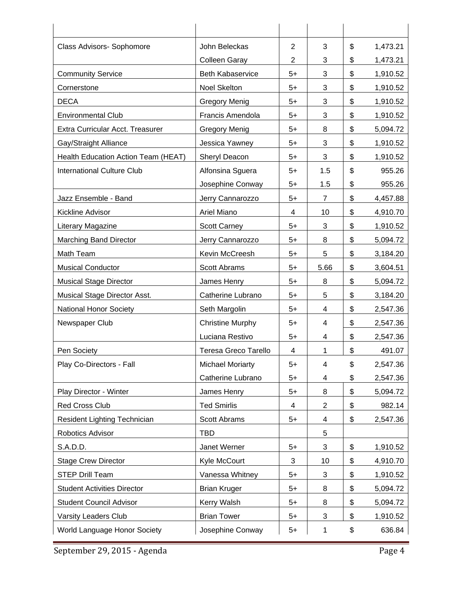| Class Advisors- Sophomore           | John Beleckas               | $\overline{2}$ | 3              | \$<br>1,473.21 |
|-------------------------------------|-----------------------------|----------------|----------------|----------------|
|                                     | <b>Colleen Garay</b>        | $\overline{2}$ | 3              | \$<br>1,473.21 |
| <b>Community Service</b>            | <b>Beth Kabaservice</b>     | $5+$           | 3              | \$<br>1,910.52 |
| Cornerstone                         | Noel Skelton                | $5+$           | 3              | \$<br>1,910.52 |
| <b>DECA</b>                         | <b>Gregory Menig</b>        | $5+$           | 3              | \$<br>1,910.52 |
| <b>Environmental Club</b>           | Francis Amendola            | $5+$           | 3              | \$<br>1,910.52 |
| Extra Curricular Acct. Treasurer    | <b>Gregory Menig</b>        | $5+$           | 8              | \$<br>5,094.72 |
| Gay/Straight Alliance               | Jessica Yawney              | 5+             | 3              | \$<br>1,910.52 |
| Health Education Action Team (HEAT) | Sheryl Deacon               | $5+$           | 3              | \$<br>1,910.52 |
| <b>International Culture Club</b>   | Alfonsina Sguera            | $5+$           | 1.5            | \$<br>955.26   |
|                                     | Josephine Conway            | $5+$           | 1.5            | \$<br>955.26   |
| Jazz Ensemble - Band                | Jerry Cannarozzo            | $5+$           | 7              | \$<br>4,457.88 |
| Kickline Advisor                    | Ariel Miano                 | 4              | 10             | \$<br>4,910.70 |
| Literary Magazine                   | <b>Scott Carney</b>         | $5+$           | 3              | \$<br>1,910.52 |
| <b>Marching Band Director</b>       | Jerry Cannarozzo            | 5+             | 8              | \$<br>5,094.72 |
| Math Team                           | Kevin McCreesh              | $5+$           | 5              | \$<br>3,184.20 |
| <b>Musical Conductor</b>            | <b>Scott Abrams</b>         | $5+$           | 5.66           | \$<br>3,604.51 |
| <b>Musical Stage Director</b>       | James Henry                 | $5+$           | 8              | \$<br>5,094.72 |
| Musical Stage Director Asst.        | Catherine Lubrano           | $5+$           | 5              | \$<br>3,184.20 |
| <b>National Honor Society</b>       | Seth Margolin               | $5+$           | 4              | \$<br>2,547.36 |
| Newspaper Club                      | <b>Christine Murphy</b>     | $5+$           | 4              | \$<br>2,547.36 |
|                                     | Luciana Restivo             | $5+$           | 4              | \$<br>2,547.36 |
| Pen Society                         | <b>Teresa Greco Tarello</b> | 4              | 1              | \$<br>491.07   |
| Play Co-Directors - Fall            | <b>Michael Moriarty</b>     | 5+             | 4              | \$<br>2,547.36 |
|                                     | Catherine Lubrano           | $5+$           | 4              | \$<br>2,547.36 |
| Play Director - Winter              | James Henry                 | $5+$           | 8              | \$<br>5,094.72 |
| <b>Red Cross Club</b>               | <b>Ted Smirlis</b>          | 4              | $\overline{c}$ | \$<br>982.14   |
| Resident Lighting Technician        | Scott Abrams                | $5+$           | 4              | \$<br>2,547.36 |
| Robotics Advisor                    | <b>TBD</b>                  |                | 5              |                |
| S.A.D.D.                            | Janet Werner                | $5+$           | 3              | \$<br>1,910.52 |
| <b>Stage Crew Director</b>          | Kyle McCourt                | 3              | 10             | \$<br>4,910.70 |
| <b>STEP Drill Team</b>              | Vanessa Whitney             | $5+$           | 3              | \$<br>1,910.52 |
| <b>Student Activities Director</b>  | <b>Brian Kruger</b>         | $5+$           | 8              | \$<br>5,094.72 |
| <b>Student Council Advisor</b>      | Kerry Walsh                 | $5+$           | 8              | \$<br>5,094.72 |
| Varsity Leaders Club                | <b>Brian Tower</b>          | $5+$           | 3              | \$<br>1,910.52 |
| World Language Honor Society        | Josephine Conway            | $5+$           | 1              | \$<br>636.84   |

September 29, 2015 - Agenda Page 4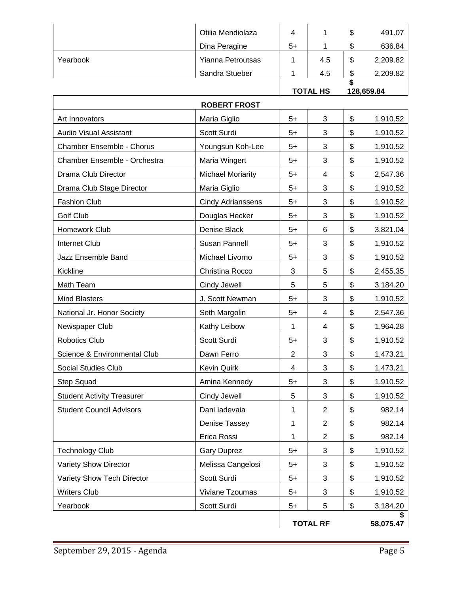|          | Otilia Mendiolaza | 4    |     | S  | 491.07   |
|----------|-------------------|------|-----|----|----------|
|          | Dina Peragine     | $5+$ |     | ۰D | 636.84   |
| Yearbook | Yianna Petroutsas |      | 4.5 | \$ | 2,209.82 |
|          | Sandra Stueber    |      | 4.5 | ъD | 2,209.82 |
|          |                   |      |     |    |          |

#### **TOTAL HS 128,659.84**

|                                   | <b>ROBERT FROST</b>      |                |                 |                |
|-----------------------------------|--------------------------|----------------|-----------------|----------------|
| Art Innovators                    | Maria Giglio             | $5+$           | 3               | \$<br>1,910.52 |
| <b>Audio Visual Assistant</b>     | Scott Surdi              | $5+$           | 3               | \$<br>1,910.52 |
| Chamber Ensemble - Chorus         | Youngsun Koh-Lee         | $5+$           | 3               | \$<br>1,910.52 |
| Chamber Ensemble - Orchestra      | Maria Wingert            | 5+             | 3               | \$<br>1,910.52 |
| Drama Club Director               | <b>Michael Moriarity</b> | $5+$           | 4               | \$<br>2,547.36 |
| Drama Club Stage Director         | Maria Giglio             | 5+             | 3               | \$<br>1,910.52 |
| <b>Fashion Club</b>               | <b>Cindy Adrianssens</b> | $5+$           | 3               | \$<br>1,910.52 |
| Golf Club                         | Douglas Hecker           | $5+$           | 3               | \$<br>1,910.52 |
| Homework Club                     | Denise Black             | 5+             | 6               | \$<br>3,821.04 |
| <b>Internet Club</b>              | Susan Pannell            | $5+$           | 3               | \$<br>1,910.52 |
| Jazz Ensemble Band                | Michael Livorno          | $5+$           | 3               | \$<br>1,910.52 |
| Kickline                          | Christina Rocco          | 3              | 5               | \$<br>2,455.35 |
| Math Team                         | Cindy Jewell             | 5              | 5               | \$<br>3,184.20 |
| <b>Mind Blasters</b>              | J. Scott Newman          | $5+$           | 3               | \$<br>1,910.52 |
| National Jr. Honor Society        | Seth Margolin            | 5+             | 4               | \$<br>2,547.36 |
| Newspaper Club                    | Kathy Leibow             | 1              | 4               | \$<br>1,964.28 |
| Robotics Club                     | Scott Surdi              | $5+$           | 3               | \$<br>1,910.52 |
| Science & Environmental Club      | Dawn Ferro               | $\overline{2}$ | 3               | \$<br>1,473.21 |
| <b>Social Studies Club</b>        | <b>Kevin Quirk</b>       | 4              | 3               | \$<br>1,473.21 |
| Step Squad                        | Amina Kennedy            | $5+$           | 3               | \$<br>1,910.52 |
| <b>Student Activity Treasurer</b> | Cindy Jewell             | 5              | 3               | \$<br>1,910.52 |
| <b>Student Council Advisors</b>   | Dani ladevaia            | 1              | $\overline{2}$  | \$<br>982.14   |
|                                   | Denise Tassey            | 1              | $\overline{2}$  | \$<br>982.14   |
|                                   | Erica Rossi              | 1              | $\overline{2}$  | \$<br>982.14   |
| <b>Technology Club</b>            | <b>Gary Duprez</b>       | $5+$           | 3               | \$<br>1,910.52 |
| Variety Show Director             | Melissa Cangelosi        | $5+$           | 3               | \$<br>1,910.52 |
| Variety Show Tech Director        | Scott Surdi              | $5+$           | 3               | \$<br>1,910.52 |
| <b>Writers Club</b>               | Viviane Tzoumas          | $5+$           | 3               | \$<br>1,910.52 |
| Yearbook                          | Scott Surdi              | $5+$           | 5               | \$<br>3,184.20 |
|                                   |                          |                | <b>TOTAL RF</b> | 58,075.47      |

 $\overline{\phantom{a}}$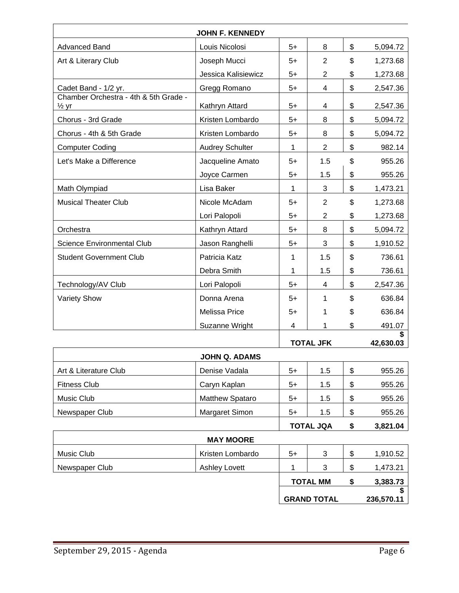|                                                           | <b>JOHN F. KENNEDY</b> |      |                    |                |
|-----------------------------------------------------------|------------------------|------|--------------------|----------------|
| <b>Advanced Band</b>                                      | Louis Nicolosi         | $5+$ | 8                  | \$<br>5,094.72 |
| Art & Literary Club                                       | Joseph Mucci           | $5+$ | $\overline{2}$     | \$<br>1,273.68 |
|                                                           | Jessica Kalisiewicz    | $5+$ | $\overline{2}$     | \$<br>1,273.68 |
| Cadet Band - 1/2 yr.                                      | Gregg Romano           | $5+$ | 4                  | \$<br>2,547.36 |
| Chamber Orchestra - 4th & 5th Grade -<br>$\frac{1}{2}$ yr | Kathryn Attard         | $5+$ | 4                  | \$<br>2,547.36 |
| Chorus - 3rd Grade                                        | Kristen Lombardo       | $5+$ | 8                  | \$<br>5,094.72 |
| Chorus - 4th & 5th Grade                                  | Kristen Lombardo       | $5+$ | 8                  | \$<br>5,094.72 |
| <b>Computer Coding</b>                                    | <b>Audrey Schulter</b> | 1    | $\overline{2}$     | \$<br>982.14   |
| Let's Make a Difference                                   | Jacqueline Amato       | $5+$ | 1.5                | \$<br>955.26   |
|                                                           | Joyce Carmen           | 5+   | 1.5                | \$<br>955.26   |
| Math Olympiad                                             | Lisa Baker             | 1    | 3                  | \$<br>1,473.21 |
| <b>Musical Theater Club</b>                               | Nicole McAdam          | $5+$ | $\overline{2}$     | \$<br>1,273.68 |
|                                                           | Lori Palopoli          | $5+$ | $\overline{2}$     | \$<br>1,273.68 |
| Orchestra                                                 | Kathryn Attard         | $5+$ | 8                  | \$<br>5,094.72 |
| Science Environmental Club                                | Jason Ranghelli        | 5+   | 3                  | \$<br>1,910.52 |
| <b>Student Government Club</b>                            | Patricia Katz          | 1    | 1.5                | \$<br>736.61   |
|                                                           | Debra Smith            | 1    | 1.5                | \$<br>736.61   |
| Technology/AV Club                                        | Lori Palopoli          | $5+$ | 4                  | \$<br>2,547.36 |
| <b>Variety Show</b>                                       | Donna Arena            | 5+   | 1                  | \$<br>636.84   |
|                                                           | <b>Melissa Price</b>   | $5+$ | 1                  | \$<br>636.84   |
|                                                           | Suzanne Wright         | 4    | 1                  | \$<br>491.07   |
|                                                           |                        |      | <b>TOTAL JFK</b>   | 42,630.03      |
|                                                           | <b>JOHN Q. ADAMS</b>   |      |                    |                |
| Art & Literature Club                                     | Denise Vadala          | $5+$ | 1.5                | \$<br>955.26   |
| <b>Fitness Club</b>                                       | Caryn Kaplan           | $5+$ | 1.5                | \$<br>955.26   |
| Music Club                                                | Matthew Spataro        | $5+$ | 1.5                | \$<br>955.26   |
| Newspaper Club                                            | Margaret Simon         | $5+$ | 1.5                | \$<br>955.26   |
|                                                           |                        |      | <b>TOTAL JQA</b>   | \$<br>3,821.04 |
|                                                           | <b>MAY MOORE</b>       |      |                    |                |
| Music Club                                                | Kristen Lombardo       | $5+$ | 3                  | \$<br>1,910.52 |
| Newspaper Club                                            | <b>Ashley Lovett</b>   | 1    | 3                  | \$<br>1,473.21 |
|                                                           |                        |      | <b>TOTAL MM</b>    | \$<br>3,383.73 |
|                                                           |                        |      | <b>GRAND TOTAL</b> | 236,570.11     |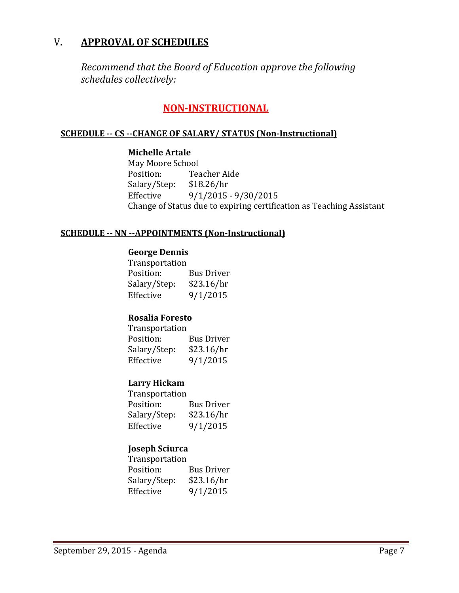# V. **APPROVAL OF SCHEDULES**

*Recommend that the Board of Education approve the following schedules collectively:*

# **NON-INSTRUCTIONAL**

#### **SCHEDULE -- CS --CHANGE OF SALARY/ STATUS (Non-Instructional)**

#### **Michelle Artale**

May Moore School<br>Position: Tea Teacher Aide<br>\$18.26/hr Salary/Step:<br>Effective Effective 9/1/2015 - 9/30/2015 Change of Status due to expiring certification as Teaching Assistant

#### **SCHEDULE -- NN --APPOINTMENTS (Non-Instructional)**

#### **George Dennis**

Transportation<br>Position: Bus Driver<br>\$23.16/hr Salary/Step:<br>Effective  $9/1/2015$ 

### **Rosalia Foresto**

Transportation<br>Position: Bus Driver<br>\$23.16/hr Salary/Step:<br>Effective  $9/1/2015$ 

### **Larry Hickam**

| <b>Bus Driver</b> |
|-------------------|
| \$23.16/hr        |
| 9/1/2015          |
|                   |

### **Joseph Sciurca**

| <b>Bus Driver</b> |
|-------------------|
| \$23.16/hr        |
| 9/1/2015          |
|                   |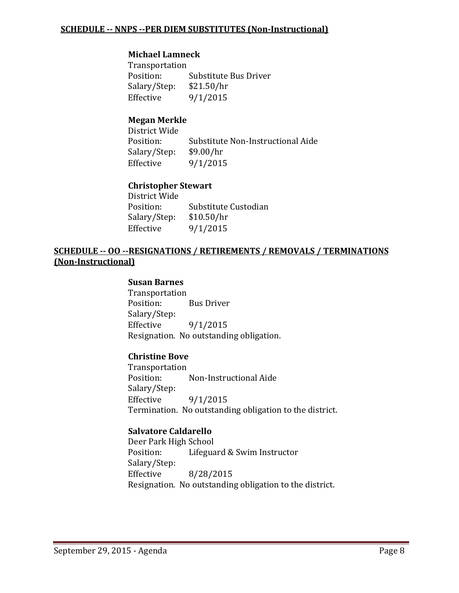#### **Michael Lamneck**

Transportation Substitute Bus Driver<br>\$21.50/hr Salary/Step:<br>Effective  $9/1/2015$ 

### **Megan Merkle**

District Wide Substitute Non-Instructional Aide<br>\$9.00/hr Salary/Step:<br>Effective  $9/1/2015$ 

#### **Christopher Stewart**

| District Wide |                      |
|---------------|----------------------|
| Position:     | Substitute Custodian |
| Salary/Step:  | \$10.50/hr           |
| Effective     | 9/1/2015             |
|               |                      |

### **SCHEDULE -- OO --RESIGNATIONS / RETIREMENTS / REMOVALS / TERMINATIONS (Non-Instructional)**

#### **Susan Barnes**

Transportation<br>Position: **Bus Driver** Salary/Step:<br>Effective  $9/1/2015$ Resignation. No outstanding obligation.

#### **Christine Bove**

Transportation<br>Position: Non-Instructional Aide Salary/Step:  $9/1/2015$ Termination. No outstanding obligation to the district.

#### **Salvatore Caldarello**

Deer Park High School<br>Position: Lifegua Lifeguard & Swim Instructor Salary/Step:<br>Effective Effective 8/28/2015 Resignation. No outstanding obligation to the district.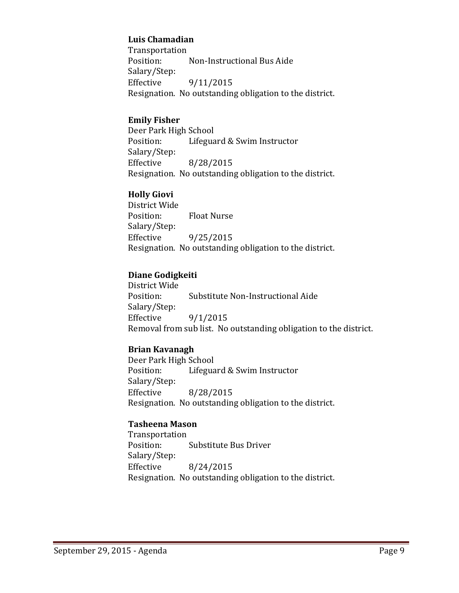#### **Luis Chamadian**

Transportation<br>Position: Non-Instructional Bus Aide Salary/Step: Effective 9/11/2015 Resignation. No outstanding obligation to the district.

#### **Emily Fisher**

Deer Park High School<br>Position: Lifegua Lifeguard & Swim Instructor Salary/Step: Effective 8/28/2015 Resignation. No outstanding obligation to the district.

### **Holly Giovi**

District Wide **Float Nurse** Salary/Step:<br>Effective Effective 9/25/2015 Resignation. No outstanding obligation to the district.

### **Diane Godigkeiti**

District Wide Substitute Non-Instructional Aide Salary/Step:<br>Effective Effective 9/1/2015 Removal from sub list. No outstanding obligation to the district.

### **Brian Kavanagh**

Deer Park High School<br>Position: Lifegua Lifeguard & Swim Instructor Salary/Step:<br>Effective Effective 8/28/2015 Resignation. No outstanding obligation to the district.

#### **Tasheena Mason**

Transportation Substitute Bus Driver Salary/Step:<br>Effective Effective 8/24/2015 Resignation. No outstanding obligation to the district.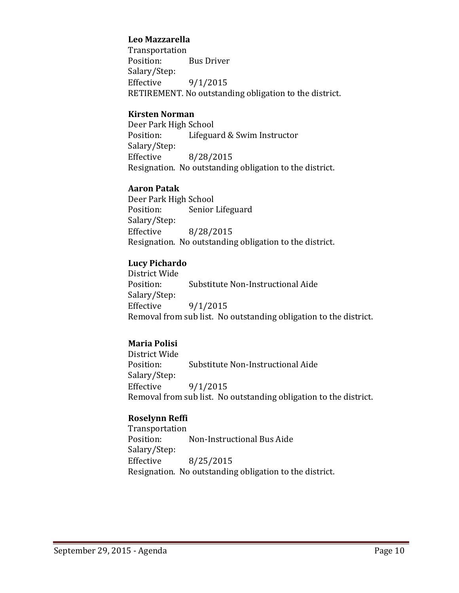#### **Leo Mazzarella**

Transportation<br>Position: **Bus Driver** Salary/Step:  $9/1/2015$ RETIREMENT. No outstanding obligation to the district.

#### **Kirsten Norman**

Deer Park High School<br>Position: Lifegua Lifeguard & Swim Instructor Salary/Step: Effective 8/28/2015 Resignation. No outstanding obligation to the district.

#### **Aaron Patak**

Deer Park High School<br>Position: Senior Senior Lifeguard Salary/Step:<br>Effective Effective 8/28/2015 Resignation. No outstanding obligation to the district.

#### **Lucy Pichardo**

District Wide Substitute Non-Instructional Aide Salary/Step:<br>Effective  $9/1/2015$ Removal from sub list. No outstanding obligation to the district.

### **Maria Polisi**

District Wide Substitute Non-Instructional Aide Salary/Step:<br>Effective  $9/1/2015$ Removal from sub list. No outstanding obligation to the district.

#### **Roselynn Reffi**

Transportation Non-Instructional Bus Aide Salary/Step: Effective 8/25/2015 Resignation. No outstanding obligation to the district.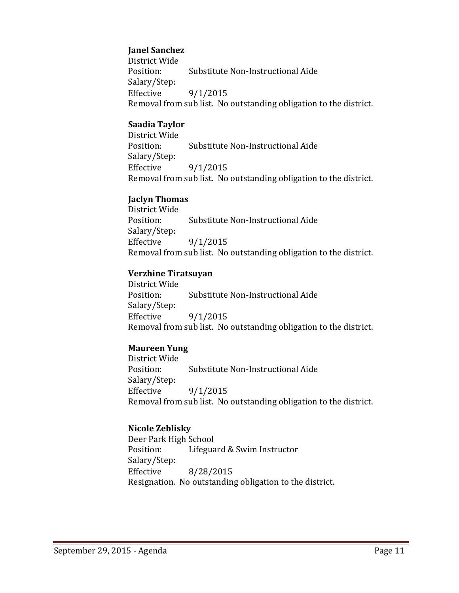### **Janel Sanchez**

District Wide Substitute Non-Instructional Aide Salary/Step:<br>Effective  $9/1/2015$ Removal from sub list. No outstanding obligation to the district.

### **Saadia Taylor**

District Wide Substitute Non-Instructional Aide Salary/Step: Effective 9/1/2015 Removal from sub list. No outstanding obligation to the district.

### **Jaclyn Thomas**

District Wide Substitute Non-Instructional Aide Salary/Step:  $9/1/2015$ Removal from sub list. No outstanding obligation to the district.

### **Verzhine Tiratsuyan**

District Wide Substitute Non-Instructional Aide Salary/Step: Effective  $9/1/2015$ Removal from sub list. No outstanding obligation to the district.

### **Maureen Yung**

District Wide Substitute Non-Instructional Aide Salary/Step:<br>Effective  $9/1/2015$ Removal from sub list. No outstanding obligation to the district.

### **Nicole Zeblisky**

Deer Park High School Lifeguard & Swim Instructor Salary/Step: Effective 8/28/2015 Resignation. No outstanding obligation to the district.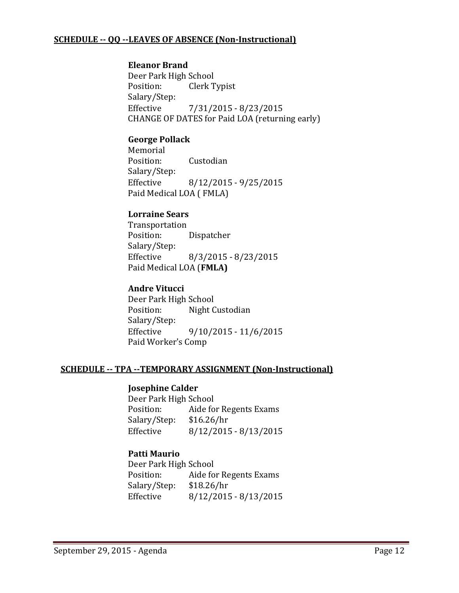### **SCHEDULE -- QQ --LEAVES OF ABSENCE (Non-Instructional)**

#### **Eleanor Brand**

Deer Park High School<br>Position: Clerk T Clerk Typist Salary/Step:<br>Effective Effective 7/31/2015 - 8/23/2015 CHANGE OF DATES for Paid LOA (returning early)

### **George Pollack**

Memorial<br>Position: Custodian Salary/Step:<br>Effective  $8/12/2015 - 9/25/2015$ Paid Medical LOA ( FMLA)

#### **Lorraine Sears**

Transportation<br>Position: Dispatcher Salary/Step:<br>Effective Effective 8/3/2015 - 8/23/2015 Paid Medical LOA (**FMLA)**

### **Andre Vitucci**

Deer Park High School<br>Position: Night C Night Custodian Salary/Step:<br>Effective  $9/10/2015 - 11/6/2015$ Paid Worker's Comp

#### **SCHEDULE -- TPA --TEMPORARY ASSIGNMENT (Non-Instructional)**

#### **Josephine Calder**

Deer Park High School<br>Position: Aide fo Aide for Regents Exams<br>\$16.26/hr Salary/Step:<br>Effective  $8/12/2015 - 8/13/2015$ 

#### **Patti Maurio**

Deer Park High School<br>Position: Aide fo Aide for Regents Exams<br>\$18.26/hr Salary/Step: Effective 8/12/2015 - 8/13/2015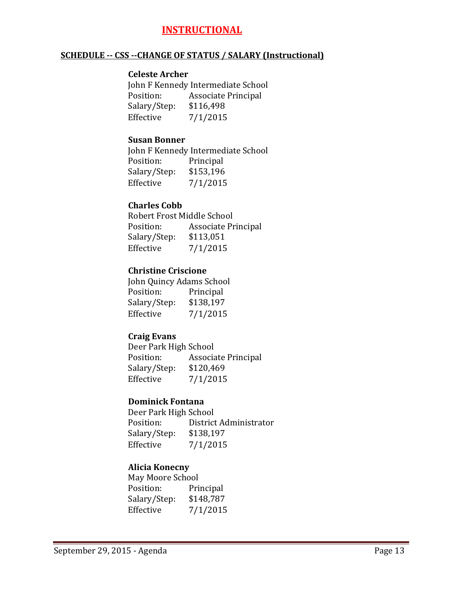# **INSTRUCTIONAL**

#### **SCHEDULE -- CSS --CHANGE OF STATUS / SALARY (Instructional)**

#### **Celeste Archer**

John F Kennedy Intermediate School<br>Position: Associate Principal Associate Principal<br>\$116,498 Salary/Step:<br>Effective  $7/1/2015$ 

#### **Susan Bonner**

John F Kennedy Intermediate School<br>Position: Principal Position: Principal<br>Salary/Step: \$153,196 Salary/Step:<br>Effective  $7/1/2015$ 

### **Charles Cobb**

Robert Frost Middle School<br>Position: Associate Pr Associate Principal<br>\$113,051 Salary/Step:<br>Effective  $7/1/2015$ 

### **Christine Criscione**

John Quincy Adams School<br>Position: Principal Position: Principal<br>Salary/Step: \$138,197 Salary/Step:<br>Effective  $7/1/2015$ 

### **Craig Evans**

Deer Park High School<br>Position: Associa Associate Principal<br>\$120,469 Salary/Step:<br>Effective  $7/1/2015$ 

#### **Dominick Fontana**

Deer Park High School<br>Position: District District Administrator<br>\$138,197 Salary/Step:<br>Effective  $7/1/2015$ 

### **Alicia Konecny**

May Moore School<br>Position: Pri Principal<br>\$148,787 Salary/Step:<br>Effective  $7/1/2015$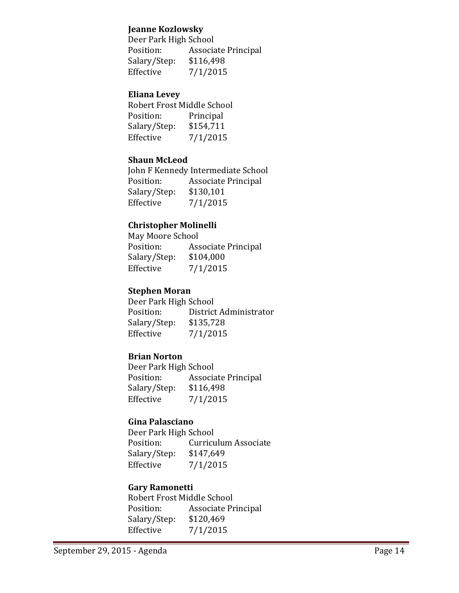#### **Jeanne Kozlowsky**

Deer Park High School<br>Position: Associa Associate Principal<br>\$116,498 Salary/Step:<br>Effective  $7/1/2015$ 

#### **Eliana Levey**

| Robert Frost Middle School |           |
|----------------------------|-----------|
| Position:                  | Principal |
| Salary/Step:               | \$154,711 |
| Effective                  | 7/1/2015  |

#### **Shaun McLeod**

John F Kennedy Intermediate School<br>Position: Associate Principal Associate Principal<br>\$130,101 Salary/Step:<br>Effective  $7/1/2015$ 

#### **Christopher Molinelli**

May Moore School<br>Position: Ass Associate Principal<br>\$104,000 Salary/Step:<br>Effective  $7/1/2015$ 

#### **Stephen Moran**

Deer Park High School<br>Position: District District Administrator<br>\$135,728 Salary/Step:<br>Effective  $7/1/2015$ 

#### **Brian Norton**

Deer Park High School<br>Position: Associa Associate Principal<br>\$116,498 Salary/Step:<br>Effective  $7/1/2015$ 

#### **Gina Palasciano**

Deer Park High School<br>Position: Curricu Curriculum Associate<br>\$147,649 Salary/Step:<br>Effective  $7/1/2015$ 

#### **Gary Ramonetti**

Robert Frost Middle School<br>Position: Associate Pr Associate Principal<br>\$120,469 Salary/Step:<br>Effective  $7/1/2015$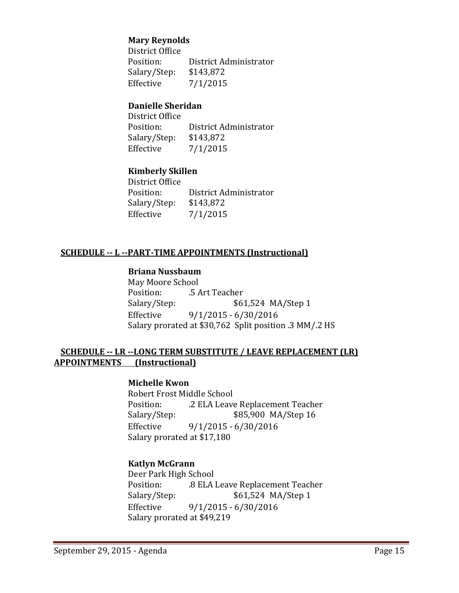#### **Mary Reynolds**

District Office<br>Position: District Administrator<br>\$143,872 Salary/Step:<br>Effective  $7/1/2015$ 

#### **Danielle Sheridan**

District Office District Administrator<br>\$143,872 Salary/Step:<br>Effective  $7/1/2015$ 

### **Kimberly Skillen**

District Office<br>Position: District Administrator<br>\$143,872 Salary/Step:<br>Effective  $7/1/2015$ 

### **SCHEDULE -- L --PART-TIME APPOINTMENTS (Instructional)**

### **Briana Nussbaum**

May Moore School Position: .5 Art Teacher<br>Salary/Step: \$62 Salary/Step: \$61,524 MA/Step 1<br>Effective 9/1/2015 - 6/30/2016 Effective 9/1/2015 - 6/30/2016 Salary prorated at \$30,762 Split position .3 MM/.2 HS

#### **SCHEDULE -- LR --LONG TERM SUBSTITUTE / LEAVE REPLACEMENT (LR) APPOINTMENTS (Instructional)**

#### **Michelle Kwon**

Robert Frost Middle School<br>Position: .2 ELA Leave Position: .2 ELA Leave Replacement Teacher<br>Salary/Step: \$85,900 MA/Step 16 \$85,900 MA/Step 16 Effective 9/1/2015 - 6/30/2016 Salary prorated at \$17,180

#### **Katlyn McGrann**

Deer Park High School Position: .8 ELA Leave Replacement Teacher Salary/Step: \$61,524 MA/Step 1<br>Effective 9/1/2015 - 6/30/2016 Effective 9/1/2015 - 6/30/2016 Salary prorated at \$49,219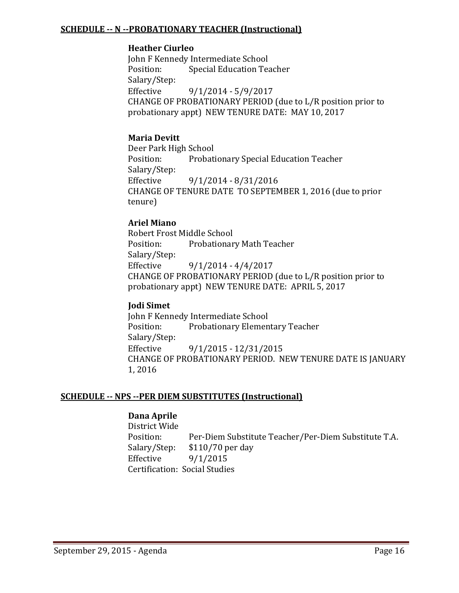#### **SCHEDULE -- N --PROBATIONARY TEACHER (Instructional)**

#### **Heather Ciurleo**

John F Kennedy Intermediate School<br>Position: Special Education Tea Special Education Teacher Salary/Step:  $9/1/2014 - 5/9/2017$ CHANGE OF PROBATIONARY PERIOD (due to L/R position prior to probationary appt) NEW TENURE DATE: MAY 10, 2017

#### **Maria Devitt**

Deer Park High School<br>Position: Probati Probationary Special Education Teacher Salary/Step: Effective 9/1/2014 - 8/31/2016 CHANGE OF TENURE DATE TO SEPTEMBER 1, 2016 (due to prior tenure)

#### **Ariel Miano**

Robert Frost Middle School Probationary Math Teacher Salary/Step:  $9/1/2014 - 4/4/2017$ CHANGE OF PROBATIONARY PERIOD (due to L/R position prior to probationary appt) NEW TENURE DATE: APRIL 5, 2017

#### **Jodi Simet**

John F Kennedy Intermediate School<br>Position: Probationary Elemen Probationary Elementary Teacher Salary/Step: Effective 9/1/2015 - 12/31/2015 CHANGE OF PROBATIONARY PERIOD. NEW TENURE DATE IS JANUARY 1, 2016

#### **SCHEDULE -- NPS --PER DIEM SUBSTITUTES (Instructional)**

#### **Dana Aprile**

District Wide Position: Per-Diem Substitute Teacher/Per-Diem Substitute T.A.<br>Salary/Step: \$110/70 per day Salary/Step: \$110/70 per day<br>Effective 9/1/2015 Effective 9/1/2015 Certification: Social Studies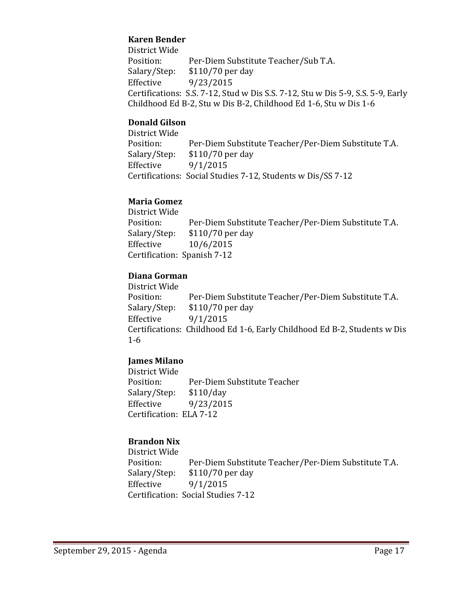### **Karen Bender**

District Wide Position: Per-Diem Substitute Teacher/Sub T.A.<br>Salary/Step: \$110/70 per day Salary/Step: \$110/70 per day<br>Effective 9/23/2015 Effective 9/23/2015 Certifications: S.S. 7-12, Stud w Dis S.S. 7-12, Stu w Dis 5-9, S.S. 5-9, Early Childhood Ed B-2, Stu w Dis B-2, Childhood Ed 1-6, Stu w Dis 1-6

### **Donald Gilson**

District Wide Position: Per-Diem Substitute Teacher/Per-Diem Substitute T.A.<br>Salary/Step: \$110/70 per day Salary/Step: \$110/70 per day<br>Effective 9/1/2015 Effective 9/1/2015 Certifications: Social Studies 7-12, Students w Dis/SS 7-12

### **Maria Gomez**

District Wide Position: Per-Diem Substitute Teacher/Per-Diem Substitute T.A.<br>Salary/Step: \$110/70 per day Salary/Step: \$110/70 per day<br>Effective 10/6/2015 Effective 10/6/2015 Certification: Spanish 7-12

### **Diana Gorman**

District Wide Position: Per-Diem Substitute Teacher/Per-Diem Substitute T.A.<br>Salary/Step: \$110/70 per day Salary/Step: \$110/70 per day<br>Effective 9/1/2015  $9/1/2015$ Certifications: Childhood Ed 1-6, Early Childhood Ed B-2, Students w Dis 1-6

### **James Milano**

District Wide Per-Diem Substitute Teacher<br>\$110/day Salary/Step:<br>Effective Effective 9/23/2015 Certification: ELA 7-12

### **Brandon Nix**

District Wide Position: Per-Diem Substitute Teacher/Per-Diem Substitute T.A.<br>Salary/Step: \$110/70 per day Salary/Step: \$110/70 per day<br>Effective 9/1/2015 Effective 9/1/2015 Certification: Social Studies 7-12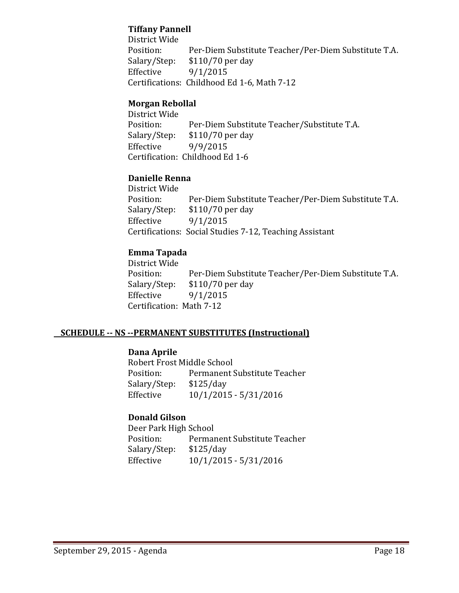### **Tiffany Pannell**

District Wide Position: Per-Diem Substitute Teacher/Per-Diem Substitute T.A.<br>Salary/Step: \$110/70 per day Salary/Step: \$110/70 per day<br>Effective 9/1/2015  $9/1/2015$ Certifications: Childhood Ed 1-6, Math 7-12

#### **Morgan Rebollal**

District Wide Position: Per-Diem Substitute Teacher/Substitute T.A.<br>Salary/Step: \$110/70 per day Salary/Step: \$110/70 per day<br>Effective 9/9/2015 Effective 9/9/2015 Certification: Childhood Ed 1-6

### **Danielle Renna**

District Wide Position: Per-Diem Substitute Teacher/Per-Diem Substitute T.A.<br>Salary/Step: \$110/70 per day \$110/70 per day Effective 9/1/2015 Certifications: Social Studies 7-12, Teaching Assistant

### **Emma Tapada**

District Wide Position: Per-Diem Substitute Teacher/Per-Diem Substitute T.A.<br>Salary/Step: \$110/70 per day  $$110/70$  per day Effective 9/1/2015 Certification: Math 7-12

#### **SCHEDULE -- NS --PERMANENT SUBSTITUTES (Instructional)**

#### **Dana Aprile**

Robert Frost Middle School<br>Position: Permanent S Permanent Substitute Teacher<br>\$125/day Salary/Step:<br>Effective Effective 10/1/2015 - 5/31/2016

### **Donald Gilson**

Deer Park High School<br>Position: Permai Permanent Substitute Teacher<br>\$125/day Salary/Step:<br>Effective Effective 10/1/2015 - 5/31/2016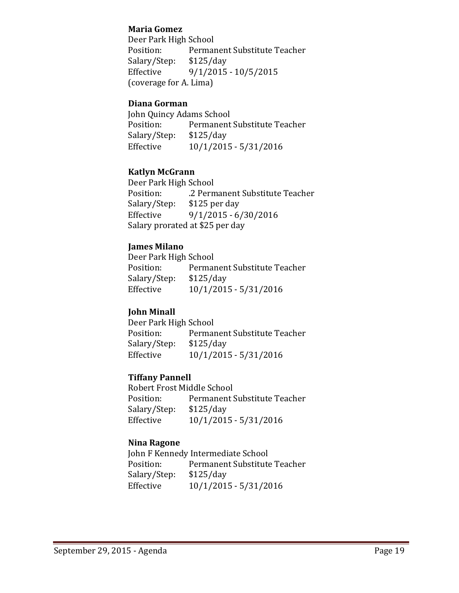#### **Maria Gomez**

Deer Park High School<br>Position: Permai Permanent Substitute Teacher<br>\$125/day Salary/Step:<br>Effective  $9/1/2015 - 10/5/2015$ (coverage for A. Lima)

#### **Diana Gorman**

John Quincy Adams School<br>Position: Permanent Permanent Substitute Teacher<br>\$125/day Salary/Step:<br>Effective Effective 10/1/2015 - 5/31/2016

### **Katlyn McGrann**

Deer Park High School .2 Permanent Substitute Teacher<br>\$125 per day Salary/Step:<br>Effective  $9/1/2015 - 6/30/2016$ Salary prorated at \$25 per day

#### **James Milano**

Deer Park High School<br>Position: Permai Permanent Substitute Teacher<br>\$125/day Salary/Step:<br>Effective Effective 10/1/2015 - 5/31/2016

### **John Minall**

Deer Park High School<br>Position: Permar Permanent Substitute Teacher<br>\$125/day Salary/Step:<br>Effective Effective 10/1/2015 - 5/31/2016

### **Tiffany Pannell**

Robert Frost Middle School<br>Position: Permanent! Permanent Substitute Teacher<br>\$125/day Salary/Step:<br>Effective Effective 10/1/2015 - 5/31/2016

#### **Nina Ragone**

John F Kennedy Intermediate School<br>Position: Permanent Substitute Permanent Substitute Teacher<br>\$125/day Salary/Step:<br>Effective Effective 10/1/2015 - 5/31/2016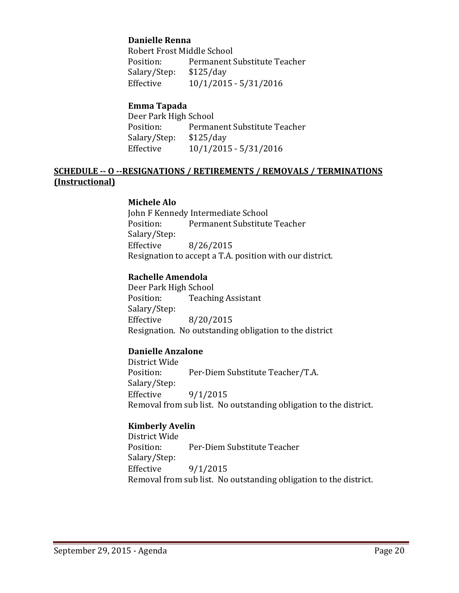#### **Danielle Renna**

Robert Frost Middle School<br>Position: Permanent ! Permanent Substitute Teacher<br>\$125/day Salary/Step:<br>Effective Effective 10/1/2015 - 5/31/2016

#### **Emma Tapada**

Deer Park High School<br>Position: Permai Permanent Substitute Teacher<br>\$125/day Salary/Step:<br>Effective Effective 10/1/2015 - 5/31/2016

#### **SCHEDULE -- O --RESIGNATIONS / RETIREMENTS / REMOVALS / TERMINATIONS (Instructional)**

#### **Michele Alo**

John F Kennedy Intermediate School<br>Position: Permanent Substitute Permanent Substitute Teacher Salary/Step: Effective 8/26/2015 Resignation to accept a T.A. position with our district.

#### **Rachelle Amendola**

Deer Park High School<br>Position: Teachii **Teaching Assistant** Salary/Step: Effective 8/20/2015 Resignation. No outstanding obligation to the district

#### **Danielle Anzalone**

District Wide Per-Diem Substitute Teacher/T.A. Salary/Step: Effective 9/1/2015 Removal from sub list. No outstanding obligation to the district.

#### **Kimberly Avelin**

District Wide Per-Diem Substitute Teacher Salary/Step:<br>Effective Effective 9/1/2015 Removal from sub list. No outstanding obligation to the district.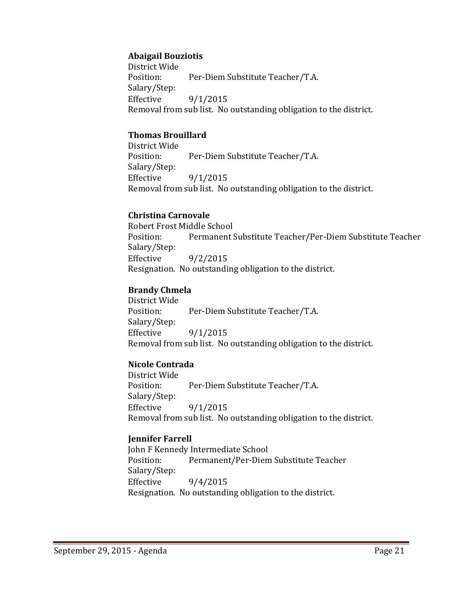### **Abaigail Bouziotis**

District Wide Per-Diem Substitute Teacher/T.A. Salary/Step:  $9/1/2015$ Removal from sub list. No outstanding obligation to the district.

#### **Thomas Brouillard**

District Wide Per-Diem Substitute Teacher/T.A. Salary/Step:<br>Effective Effective 9/1/2015 Removal from sub list. No outstanding obligation to the district.

#### **Christina Carnovale**

Robert Frost Middle School<br>Position: Permanent : Permanent Substitute Teacher/Per-Diem Substitute Teacher Salary/Step: Effective 9/2/2015 Resignation. No outstanding obligation to the district.

### **Brandy Chmela**

District Wide Per-Diem Substitute Teacher/T.A. Salary/Step:<br>Effective  $9/1/2015$ Removal from sub list. No outstanding obligation to the district.

### **Nicole Contrada**

District Wide Per-Diem Substitute Teacher/T.A. Salary/Step:<br>Effective  $9/1/2015$ Removal from sub list. No outstanding obligation to the district.

#### **Jennifer Farrell**

John F Kennedy Intermediate School Position: Permanent/Per-Diem Substitute Teacher Salary/Step:<br>Effective  $9/4/2015$ Resignation. No outstanding obligation to the district.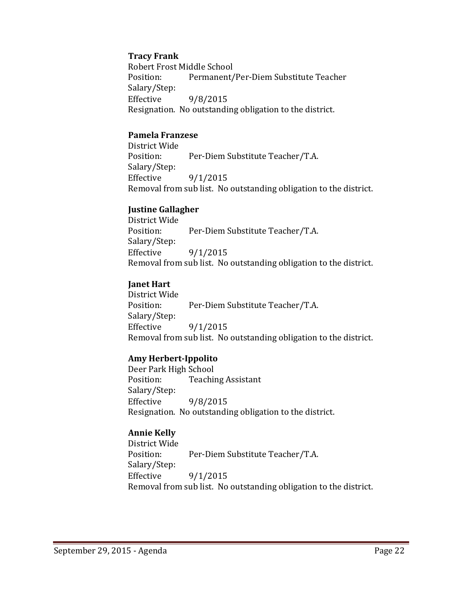#### **Tracy Frank**

Robert Frost Middle School<br>Position: Permanent/ Permanent/Per-Diem Substitute Teacher Salary/Step: Effective 9/8/2015 Resignation. No outstanding obligation to the district.

#### **Pamela Franzese**

District Wide Per-Diem Substitute Teacher/T.A. Salary/Step: Effective 9/1/2015 Removal from sub list. No outstanding obligation to the district.

### **Justine Gallagher**

District Wide Per-Diem Substitute Teacher/T.A. Salary/Step: Effective 9/1/2015 Removal from sub list. No outstanding obligation to the district.

### **Janet Hart**

District Wide Per-Diem Substitute Teacher/T.A. Salary/Step: Effective 9/1/2015 Removal from sub list. No outstanding obligation to the district.

#### **Amy Herbert-Ippolito**

Deer Park High School **Teaching Assistant** Salary/Step:<br>Effective Effective 9/8/2015 Resignation. No outstanding obligation to the district.

### **Annie Kelly**

District Wide Per-Diem Substitute Teacher/T.A. Salary/Step: Effective 9/1/2015 Removal from sub list. No outstanding obligation to the district.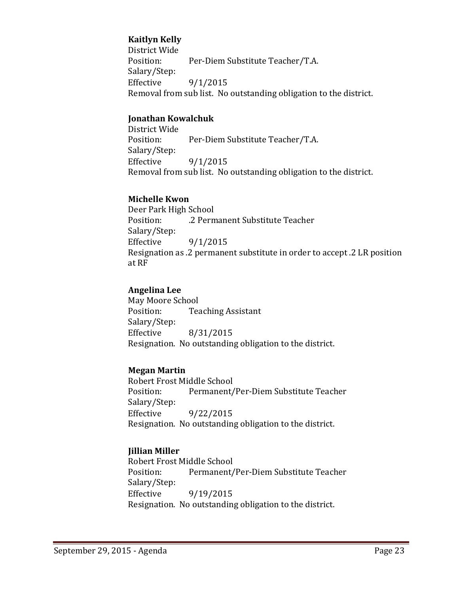### **Kaitlyn Kelly**

District Wide Per-Diem Substitute Teacher/T.A. Salary/Step:  $9/1/2015$ Removal from sub list. No outstanding obligation to the district.

#### **Jonathan Kowalchuk**

District Wide Per-Diem Substitute Teacher/T.A. Salary/Step:<br>Effective  $9/1/2015$ Removal from sub list. No outstanding obligation to the district.

#### **Michelle Kwon**

Deer Park High School .2 Permanent Substitute Teacher Salary/Step:  $9/1/2015$ Resignation as .2 permanent substitute in order to accept .2 LR position at RF

#### **Angelina Lee**

May Moore School<br>Position: Tea **Teaching Assistant** Salary/Step: Effective 8/31/2015 Resignation. No outstanding obligation to the district.

#### **Megan Martin**

Robert Frost Middle School Permanent/Per-Diem Substitute Teacher Salary/Step:<br>Effective Effective 9/22/2015 Resignation. No outstanding obligation to the district.

#### **Jillian Miller**

Robert Frost Middle School<br>Position: Permanent/ Permanent/Per-Diem Substitute Teacher Salary/Step:<br>Effective Effective 9/19/2015 Resignation. No outstanding obligation to the district.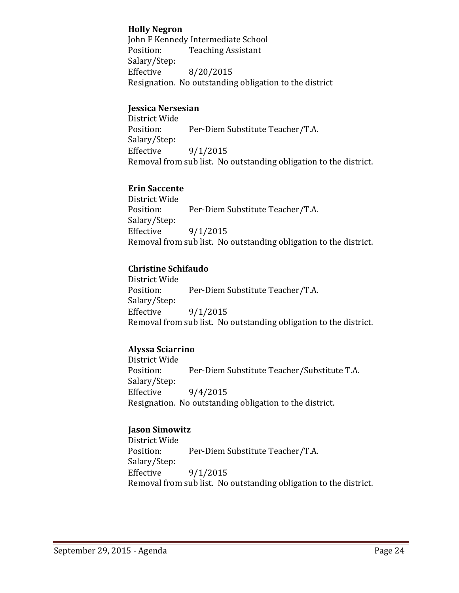#### **Holly Negron**

John F Kennedy Intermediate School<br>Position: Teaching Assistant **Teaching Assistant** Salary/Step:<br>Effective Effective 8/20/2015 Resignation. No outstanding obligation to the district

### **Jessica Nersesian**

District Wide Per-Diem Substitute Teacher/T.A. Salary/Step:  $9/1/2015$ Removal from sub list. No outstanding obligation to the district.

### **Erin Saccente**

District Wide Per-Diem Substitute Teacher/T.A. Salary/Step:<br>Effective Effective 9/1/2015 Removal from sub list. No outstanding obligation to the district.

### **Christine Schifaudo**

District Wide Per-Diem Substitute Teacher/T.A. Salary/Step: Effective 9/1/2015 Removal from sub list. No outstanding obligation to the district.

### **Alyssa Sciarrino**

District Wide Per-Diem Substitute Teacher/Substitute T.A. Salary/Step:<br>Effective  $9/4/2015$ Resignation. No outstanding obligation to the district.

#### **Jason Simowitz**

District Wide Per-Diem Substitute Teacher/T.A. Salary/Step:<br>Effective  $9/1/2015$ Removal from sub list. No outstanding obligation to the district.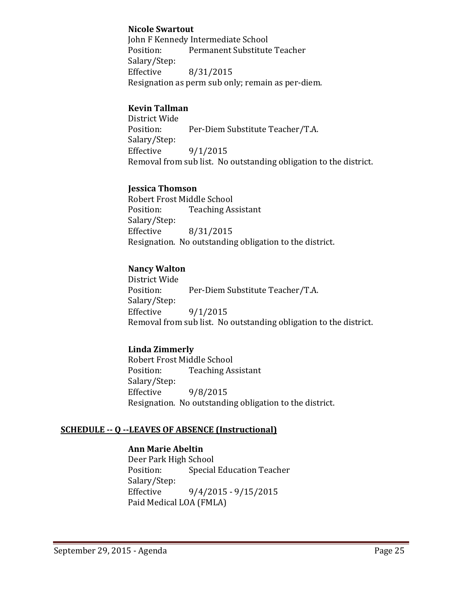#### **Nicole Swartout**

John F Kennedy Intermediate School<br>Position: Permanent Substitute Permanent Substitute Teacher Salary/Step:<br>Effective Effective 8/31/2015 Resignation as perm sub only; remain as per-diem.

### **Kevin Tallman**

District Wide Per-Diem Substitute Teacher/T.A. Salary/Step:  $9/1/2015$ Removal from sub list. No outstanding obligation to the district.

#### **Jessica Thomson**

Robert Frost Middle School<br>Position: Teaching As **Teaching Assistant** Salary/Step:<br>Effective Effective 8/31/2015 Resignation. No outstanding obligation to the district.

### **Nancy Walton**

District Wide Per-Diem Substitute Teacher/T.A. Salary/Step: Effective 9/1/2015 Removal from sub list. No outstanding obligation to the district.

### **Linda Zimmerly**

Robert Frost Middle School<br>Position: Teaching As **Teaching Assistant** Salary/Step:<br>Effective Effective 9/8/2015 Resignation. No outstanding obligation to the district.

#### **SCHEDULE -- Q --LEAVES OF ABSENCE (Instructional)**

### **Ann Marie Abeltin**

Deer Park High School<br>Position: Special **Special Education Teacher** Salary/Step:<br>Effective  $9/4/2015 - 9/15/2015$ Paid Medical LOA (FMLA)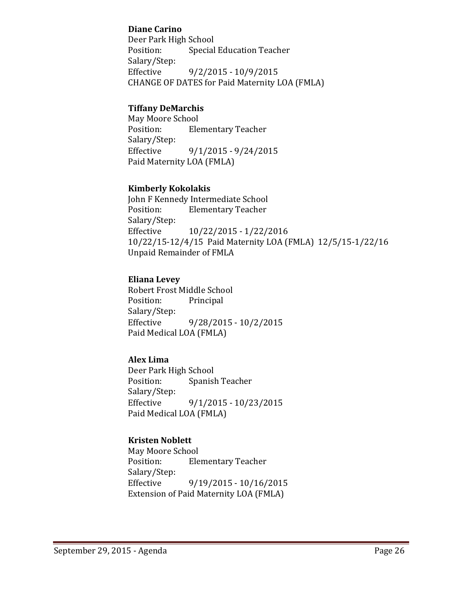### **Diane Carino**

Deer Park High School<br>Position: Special Special Education Teacher Salary/Step:  $9/2/2015 - 10/9/2015$ CHANGE OF DATES for Paid Maternity LOA (FMLA)

### **Tiffany DeMarchis**

May Moore School<br>Position: Ele **Elementary Teacher** Salary/Step:  $9/1/2015 - 9/24/2015$ Paid Maternity LOA (FMLA)

#### **Kimberly Kokolakis**

John F Kennedy Intermediate School<br>Position: Elementary Teacher **Elementary Teacher** Salary/Step:<br>Effective Effective 10/22/2015 - 1/22/2016 10/22/15-12/4/15 Paid Maternity LOA (FMLA) 12/5/15-1/22/16 Unpaid Remainder of FMLA

### **Eliana Levey**

Robert Frost Middle School<br>Position: Principal Position: Salary/Step:<br>Effective  $9/28/2015 - 10/2/2015$ Paid Medical LOA (FMLA)

### **Alex Lima**

Deer Park High School<br>Position: Spanisl Spanish Teacher Salary/Step:<br>Effective Effective 9/1/2015 - 10/23/2015 Paid Medical LOA (FMLA)

### **Kristen Noblett**

May Moore School<br>Position: Ele **Elementary Teacher** Salary/Step:<br>Effective  $9/19/2015 - 10/16/2015$ Extension of Paid Maternity LOA (FMLA)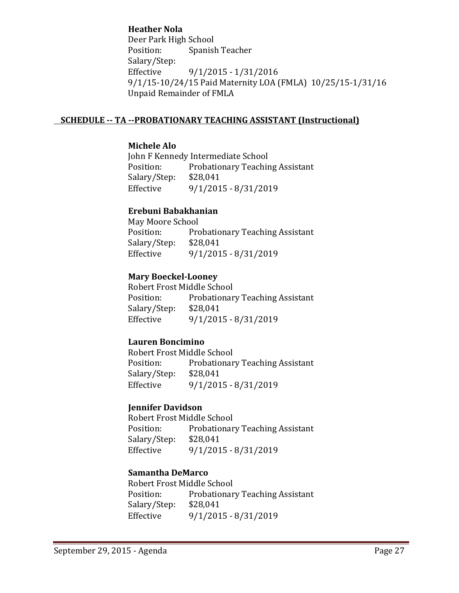### **Heather Nola**

Deer Park High School<br>Position: Spanisl Spanish Teacher Salary/Step:<br>Effective Effective 9/1/2015 - 1/31/2016 9/1/15-10/24/15 Paid Maternity LOA (FMLA) 10/25/15-1/31/16 Unpaid Remainder of FMLA

#### **SCHEDULE -- TA --PROBATIONARY TEACHING ASSISTANT (Instructional)**

#### **Michele Alo**

John F Kennedy Intermediate School<br>Position: Probationary Teachir Probationary Teaching Assistant<br>\$28,041 Salary/Step:<br>Effective Effective 9/1/2015 - 8/31/2019

### **Erebuni Babakhanian**

May Moore School<br>Position: Pro Probationary Teaching Assistant<br>\$28,041 Salary/Step: Effective 9/1/2015 - 8/31/2019

#### **Mary Boeckel-Looney**

Robert Frost Middle School Probationary Teaching Assistant<br>\$28,041 Salary/Step:<br>Effective Effective 9/1/2015 - 8/31/2019

### **Lauren Boncimino**

Robert Frost Middle School Probationary Teaching Assistant Salary/Step: \$28,041<br>Effective 9/1/201 Effective 9/1/2015 - 8/31/2019

### **Jennifer Davidson**

Robert Frost Middle School<br>Position: Probationar Probationary Teaching Assistant<br>\$28,041 Salary/Step:<br>Effective Effective 9/1/2015 - 8/31/2019

#### **Samantha DeMarco**

Robert Frost Middle School<br>Position: Probationar Probationary Teaching Assistant<br>\$28,041 Salary/Step:<br>Effective Effective 9/1/2015 - 8/31/2019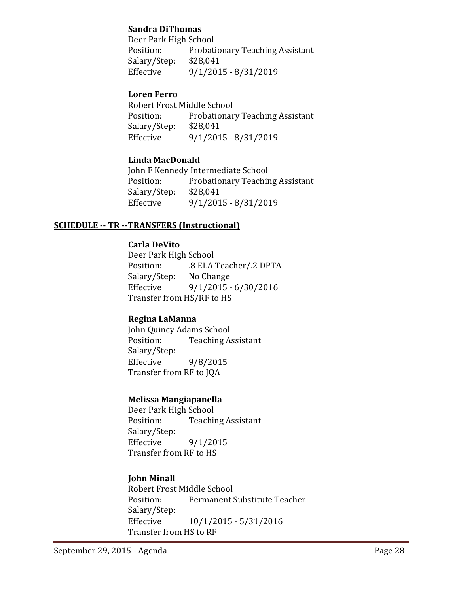#### **Sandra DiThomas**

Deer Park High School<br>Position: Probati Probationary Teaching Assistant<br>\$28,041 Salary/Step:<br>Effective Effective 9/1/2015 - 8/31/2019

### **Loren Ferro**

Robert Frost Middle School Probationary Teaching Assistant<br>\$28,041 Salary/Step:<br>Effective Effective 9/1/2015 - 8/31/2019

### **Linda MacDonald**

John F Kennedy Intermediate School<br>Position: Probationary Teachir Probationary Teaching Assistant<br>\$28,041 Salary/Step:<br>Effective Effective 9/1/2015 - 8/31/2019

### **SCHEDULE -- TR --TRANSFERS (Instructional)**

### **Carla DeVito**

Deer Park High School .8 ELA Teacher/.2 DPTA<br>No Change Salary/Step:<br>Effective Effective 9/1/2015 - 6/30/2016 Transfer from HS/RF to HS

### **Regina LaManna**

John Quincy Adams School<br>Position: Teaching A **Teaching Assistant** Salary/Step: Effective 9/8/2015 Transfer from RF to JQA

#### **Melissa Mangiapanella**

Deer Park High School<br>Position: Teachii **Teaching Assistant** Salary/Step:<br>Effective  $9/1/2015$ Transfer from RF to HS

### **John Minall**

Robert Frost Middle School<br>Position: Permanent ! Permanent Substitute Teacher Salary/Step:<br>Effective Effective 10/1/2015 - 5/31/2016 Transfer from HS to RF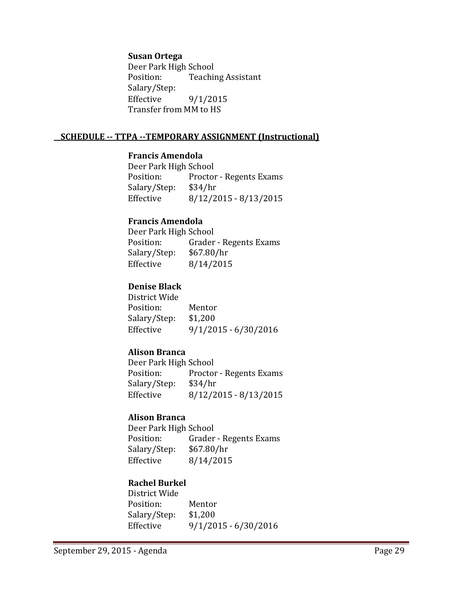#### **Susan Ortega**

Deer Park High School<br>Position: Teachii **Teaching Assistant** Salary/Step:  $9/1/2015$ Transfer from MM to HS

#### **SCHEDULE -- TTPA --TEMPORARY ASSIGNMENT (Instructional)**

#### **Francis Amendola**

Deer Park High School<br>Position: Proctor Proctor - Regents Exams<br>\$34/hr Salary/Step:<br>Effective Effective 8/12/2015 - 8/13/2015

#### **Francis Amendola**

Deer Park High School<br>Position: Grader Grader - Regents Exams<br>\$67.80/hr Salary/Step:<br>Effective Effective 8/14/2015

### **Denise Black**

District Wide Position: Mentor<br>Salary/Step: \$1,200 Salary/Step:<br>Effective  $9/1/2015 - 6/30/2016$ 

#### **Alison Branca**

Deer Park High School<br>Position: Proctor Proctor - Regents Exams<br>\$34/hr Salary/Step:<br>Effective Effective 8/12/2015 - 8/13/2015

#### **Alison Branca**

Deer Park High School<br>Position: Grader Grader - Regents Exams<br>\$67.80/hr Salary/Step:<br>Effective Effective 8/14/2015

### **Rachel Burkel**

District Wide Position: Mentor<br>Salary/Step: \$1,200 Salary/Step: Effective 9/1/2015 - 6/30/2016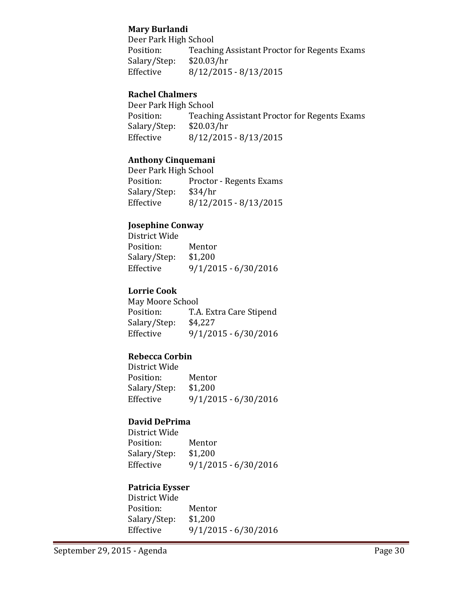### **Mary Burlandi**

Deer Park High School<br>Position: Teachii Teaching Assistant Proctor for Regents Exams<br>\$20.03/hr Salary/Step:<br>Effective  $8/12/2015 - 8/13/2015$ 

### **Rachel Chalmers**

Deer Park High School<br>Position: Teachii Teaching Assistant Proctor for Regents Exams<br>\$20.03/hr Salary/Step:<br>Effective  $8/12/2015 - 8/13/2015$ 

#### **Anthony Cinquemani**

Deer Park High School<br>Position: Proctor Proctor - Regents Exams<br>\$34/hr Salary/Step:<br>Effective Effective 8/12/2015 - 8/13/2015

### **Josephine Conway**

District Wide Position: Mentor<br>Salary/Step: \$1,200 Salary/Step:<br>Effective  $9/1/2015 - 6/30/2016$ 

### **Lorrie Cook**

May Moore School<br>Position: T.A T.A. Extra Care Stipend<br>\$4,227 Salary/Step:<br>Effective Effective 9/1/2015 - 6/30/2016

### **Rebecca Corbin**

District Wide Position: Mentor<br>Salary/Step: \$1,200 Salary/Step:<br>Effective Effective 9/1/2015 - 6/30/2016

### **David DePrima**

District Wide Position: Mentor<br>Salary/Step: \$1,200 Salary/Step: Effective 9/1/2015 - 6/30/2016

#### **Patricia Eysser**

District Wide Position: Mentor<br>Salary/Step: \$1,200 Salary/Step:<br>Effective  $9/1/2015 - 6/30/2016$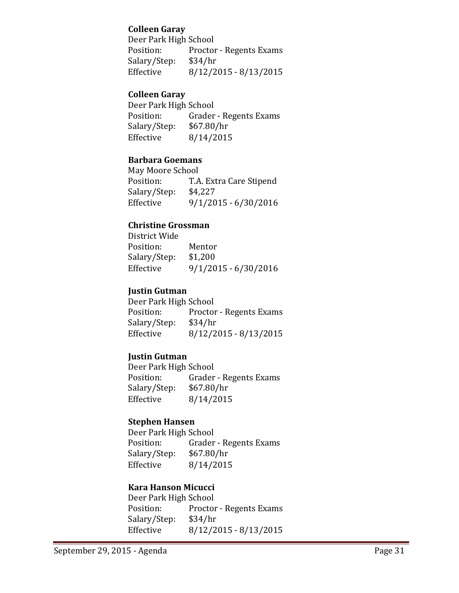### **Colleen Garay**

Deer Park High School<br>Position: Proctor Proctor - Regents Exams<br>\$34/hr Salary/Step:<br>Effective Effective 8/12/2015 - 8/13/2015

#### **Colleen Garay**

Deer Park High School<br>Position: Grader Grader - Regents Exams<br>\$67.80/hr Salary/Step:<br>Effective Effective 8/14/2015

### **Barbara Goemans**

May Moore School<br>Position: T.A T.A. Extra Care Stipend Salary/Step: \$4,227<br>Effective 9/1/20 Effective 9/1/2015 - 6/30/2016

#### **Christine Grossman**

District Wide Position: Mentor<br>Salary/Step: \$1,200 Salary/Step:<br>Effective  $9/1/2015 - 6/30/2016$ 

### **Justin Gutman**

Deer Park High School<br>Position: Proctor Proctor - Regents Exams<br>\$34/hr Salary/Step:<br>Effective  $8/12/2015 - 8/13/2015$ 

### **Justin Gutman**

Deer Park High School<br>Position: Grader Grader - Regents Exams<br>\$67.80/hr Salary/Step:<br>Effective Effective 8/14/2015

#### **Stephen Hansen**

Deer Park High School<br>Position: Grader Grader - Regents Exams<br>\$67.80/hr Salary/Step: Effective 8/14/2015

#### **Kara Hanson Micucci**

Deer Park High School<br>Position: Proctor Proctor - Regents Exams<br>\$34/hr Salary/Step:<br>Effective  $8/12/2015 - 8/13/2015$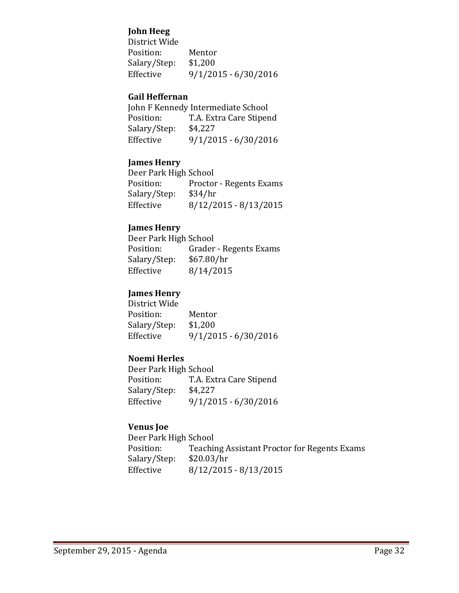### **John Heeg**

| Mentor                 |
|------------------------|
| \$1,200                |
| $9/1/2015 - 6/30/2016$ |
|                        |

#### **Gail Heffernan**

|              | John F Kennedy Intermediate School |
|--------------|------------------------------------|
| Position:    | T.A. Extra Care Stipend            |
| Salary/Step: | \$4,227                            |
| Effective    | $9/1/2015 - 6/30/2016$             |

### **James Henry**

| Deer Park High School |                                |
|-----------------------|--------------------------------|
| Position:             | <b>Proctor - Regents Exams</b> |
| Salary/Step:          | \$34/hr                        |
| Effective             | $8/12/2015 - 8/13/2015$        |

### **James Henry**

| Deer Park High School  |
|------------------------|
| Grader - Regents Exams |
| \$67.80/hr             |
| 8/14/2015              |
|                        |

## **James Henry**

| Mentor                 |
|------------------------|
| \$1,200                |
| $9/1/2015 - 6/30/2016$ |
|                        |

### **Noemi Herles**

Deer Park High School<br>Position: T.A. Ext T.A. Extra Care Stipend<br>\$4,227 Salary/Step:<br>Effective  $9/1/2015 - 6/30/2016$ 

### **Venus Joe**

Deer Park High School<br>Position: Teachin Teaching Assistant Proctor for Regents Exams<br>\$20.03/hr Salary/Step:<br>Effective  $8/12/2015 - 8/13/2015$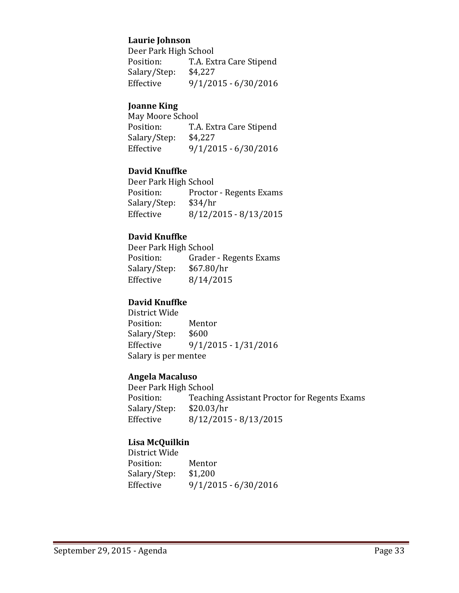### **Laurie Johnson**

Deer Park High School<br>Position: T.A. Ext T.A. Extra Care Stipend<br>\$4,227 Salary/Step:<br>Effective Effective 9/1/2015 - 6/30/2016

#### **Joanne King**

May Moore School<br>Position: T.A T.A. Extra Care Stipend<br>\$4,227 Salary/Step:<br>Effective  $9/1/2015 - 6/30/2016$ 

### **David Knuffke**

Deer Park High School<br>Position: Proctor Proctor - Regents Exams<br>\$34/hr Salary/Step:<br>Effective  $8/12/2015 - 8/13/2015$ 

### **David Knuffke**

Deer Park High School<br>Position: Grader Grader - Regents Exams<br>\$67.80/hr Salary/Step:<br>Effective  $8/14/2015$ 

#### **David Knuffke**

District Wide Position: Mentor<br>Salary/Step: \$600 Salary/Step: Effective 9/1/2015 - 1/31/2016 Salary is per mentee

#### **Angela Macaluso**

Deer Park High School<br>Position: Teachii Teaching Assistant Proctor for Regents Exams<br>\$20.03/hr Salary/Step:<br>Effective  $8/12/2015 - 8/13/2015$ 

#### **Lisa McQuilkin**

District Wide Position: Mentor<br>Salary/Step: \$1,200 Salary/Step:<br>Effective  $9/1/2015 - 6/30/2016$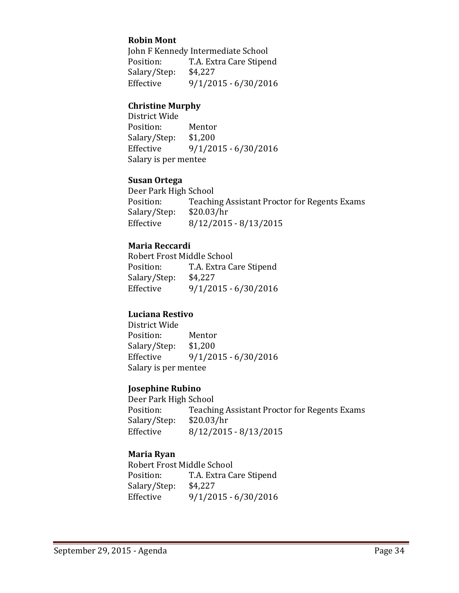### **Robin Mont**

John F Kennedy Intermediate School<br>Position: T.A. Extra Care Stiper T.A. Extra Care Stipend<br>\$4,227 Salary/Step:<br>Effective Effective 9/1/2015 - 6/30/2016

#### **Christine Murphy**

District Wide Position: Mentor<br>Salary/Step: \$1,200 Salary/Step:<br>Effective  $9/1/2015 - 6/30/2016$ Salary is per mentee

#### **Susan Ortega**

Deer Park High School<br>Position: Teachii Teaching Assistant Proctor for Regents Exams<br>\$20.03/hr Salary/Step:<br>Effective  $8/12/2015 - 8/13/2015$ 

#### **Maria Reccardi**

Robert Frost Middle School<br>Position: T.A. Extra Ca T.A. Extra Care Stipend<br>\$4,227 Salary/Step:<br>Effective  $9/1/2015 - 6/30/2016$ 

#### **Luciana Restivo**

District Wide Position: Mentor<br>Salary/Step: \$1,200 Salary/Step:<br>Effective  $9/1/2015 - 6/30/2016$ Salary is per mentee

### **Josephine Rubino**

Deer Park High School<br>Position: Teachii Teaching Assistant Proctor for Regents Exams<br>\$20.03/hr Salary/Step: Effective 8/12/2015 - 8/13/2015

#### **Maria Ryan**

Robert Frost Middle School<br>Position: T.A. Extra Ca T.A. Extra Care Stipend<br>\$4,227 Salary/Step:<br>Effective  $9/1/2015 - 6/30/2016$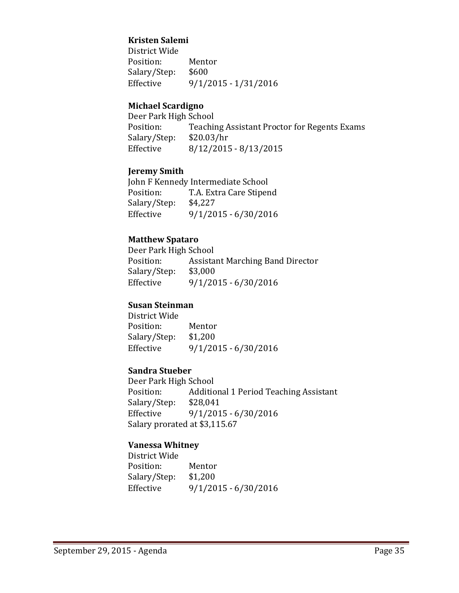#### **Kristen Salemi**

District Wide Position: Mentor<br>Salary/Step: \$600 Salary/Step:<br>Effective Effective 9/1/2015 - 1/31/2016

#### **Michael Scardigno**

Deer Park High School<br>Position: Teachir Teaching Assistant Proctor for Regents Exams<br>\$20.03/hr Salary/Step:<br>Effective  $8/12/2015 - 8/13/2015$ 

#### **Jeremy Smith**

John F Kennedy Intermediate School<br>Position: T.A. Extra Care Stiper T.A. Extra Care Stipend<br>\$4,227 Salary/Step:<br>Effective  $9/1/2015 - 6/30/2016$ 

### **Matthew Spataro**

Deer Park High School<br>Position: Assista Assistant Marching Band Director<br>\$3,000 Salary/Step:<br>Effective  $9/1/2015 - 6/30/2016$ 

#### **Susan Steinman**

District Wide Position: Mentor<br>Salary/Step: \$1,200 Salary/Step:<br>Effective Effective 9/1/2015 - 6/30/2016

#### **Sandra Stueber**

Deer Park High School<br>Position: Additic Additional 1 Period Teaching Assistant \$28,041 Salary/Step: Effective 9/1/2015 - 6/30/2016 Salary prorated at \$3,115.67

#### **Vanessa Whitney**

District Wide Position: Mentor<br>Salary/Step: \$1,200 Salary/Step:<br>Effective Effective 9/1/2015 - 6/30/2016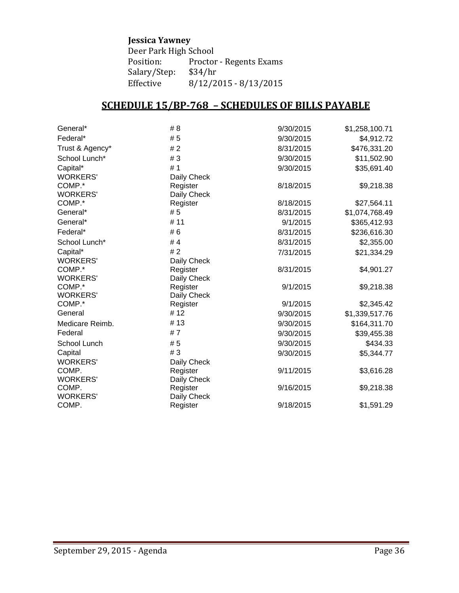### **Jessica Yawney**

Deer Park High School<br>Position: Proctor Proctor - Regents Exams<br>\$34/hr Salary/Step:<br>Effective  $8/12/2015 - 8/13/2015$ 

# **SCHEDULE 15/BP-768 – SCHEDULES OF BILLS PAYABLE**

| General*        | # 8         | 9/30/2015 | \$1,258,100.71 |
|-----------------|-------------|-----------|----------------|
| Federal*        | # 5         | 9/30/2015 | \$4,912.72     |
| Trust & Agency* | #2          | 8/31/2015 | \$476,331.20   |
| School Lunch*   | #3          | 9/30/2015 | \$11,502.90    |
| Capital*        | # 1         | 9/30/2015 | \$35,691.40    |
| <b>WORKERS'</b> | Daily Check |           |                |
| COMP.*          | Register    | 8/18/2015 | \$9,218.38     |
| <b>WORKERS'</b> | Daily Check |           |                |
| COMP.*          | Register    | 8/18/2015 | \$27,564.11    |
| General*        | # 5         | 8/31/2015 | \$1,074,768.49 |
| General*        | # 11        | 9/1/2015  | \$365,412.93   |
| Federal*        | # 6         | 8/31/2015 | \$236,616.30   |
| School Lunch*   | #4          | 8/31/2015 | \$2,355.00     |
| Capital*        | #2          | 7/31/2015 | \$21,334.29    |
| <b>WORKERS'</b> | Daily Check |           |                |
| COMP.*          | Register    | 8/31/2015 | \$4,901.27     |
| <b>WORKERS'</b> | Daily Check |           |                |
| COMP.*          | Register    | 9/1/2015  | \$9,218.38     |
| <b>WORKERS'</b> | Daily Check |           |                |
| COMP.*          | Register    | 9/1/2015  | \$2,345.42     |
| General         | #12         | 9/30/2015 | \$1,339,517.76 |
| Medicare Reimb. | #13         | 9/30/2015 | \$164,311.70   |
| Federal         | #7          | 9/30/2015 | \$39,455.38    |
| School Lunch    | # 5         | 9/30/2015 | \$434.33       |
| Capital         | #3          | 9/30/2015 | \$5,344.77     |
| <b>WORKERS'</b> | Daily Check |           |                |
| COMP.           | Register    | 9/11/2015 | \$3,616.28     |
| <b>WORKERS'</b> | Daily Check |           |                |
| COMP.           | Register    | 9/16/2015 | \$9,218.38     |
| <b>WORKERS'</b> | Daily Check |           |                |
| COMP.           | Register    | 9/18/2015 | \$1,591.29     |
|                 |             |           |                |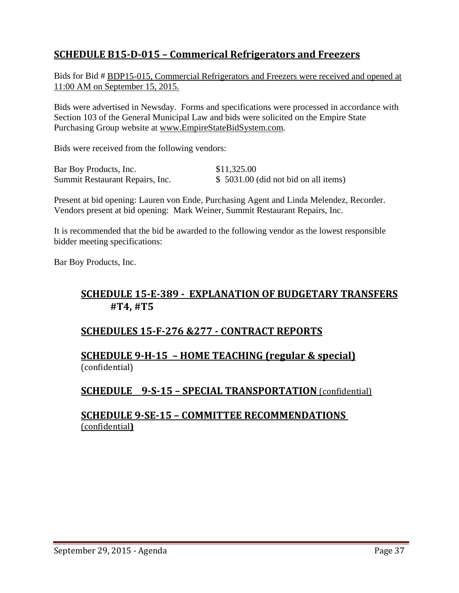# **SCHEDULE B15-D-015 – Commerical Refrigerators and Freezers**

Bids for Bid # BDP15-015, Commercial Refrigerators and Freezers were received and opened at 11:00 AM on September 15, 2015.

Bids were advertised in Newsday. Forms and specifications were processed in accordance with Section 103 of the General Municipal Law and bids were solicited on the Empire State Purchasing Group website at [www.EmpireStateBidSystem.com.](http://www.empirestatebidsystem.com/)

Bids were received from the following vendors:

| Bar Boy Products, Inc.          | \$11,325.00                           |
|---------------------------------|---------------------------------------|
| Summit Restaurant Repairs, Inc. | $$5031.00$ (did not bid on all items) |

Present at bid opening: Lauren von Ende, Purchasing Agent and Linda Melendez, Recorder. Vendors present at bid opening: Mark Weiner, Summit Restaurant Repairs, Inc.

It is recommended that the bid be awarded to the following vendor as the lowest responsible bidder meeting specifications:

Bar Boy Products, Inc.

## **SCHEDULE 15-E-389 - EXPLANATION OF BUDGETARY TRANSFERS #T4, #T5**

## **SCHEDULES 15-F-276 &277 - CONTRACT REPORTS**

### **SCHEDULE 9-H-15 – HOME TEACHING (regular & special)** (confidential)

## **SCHEDULE 9-S-15 – SPECIAL TRANSPORTATION** (confidential)

### **SCHEDULE 9-SE-15 – COMMITTEE RECOMMENDATIONS**  (confidential**)**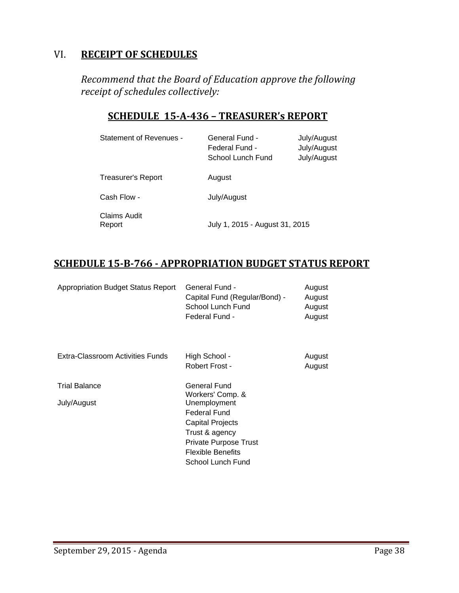# VI. **RECEIPT OF SCHEDULES**

*Recommend that the Board of Education approve the following receipt of schedules collectively:*

# **SCHEDULE 15-A-436 – TREASURER's REPORT**

| <b>Statement of Revenues -</b> | <b>General Fund -</b><br>Federal Fund -<br>School Lunch Fund | July/August<br>July/August<br>July/August |
|--------------------------------|--------------------------------------------------------------|-------------------------------------------|
| Treasurer's Report             | August                                                       |                                           |
| Cash Flow -                    | July/August                                                  |                                           |
| Claims Audit<br>Report         | July 1, 2015 - August 31, 2015                               |                                           |

# **SCHEDULE 15-B-766 - APPROPRIATION BUDGET STATUS REPORT**

| <b>Appropriation Budget Status Report</b> | General Fund -<br>Capital Fund (Regular/Bond) -<br>School Lunch Fund<br>Federal Fund -                                                             | August<br>August<br>August<br>August |
|-------------------------------------------|----------------------------------------------------------------------------------------------------------------------------------------------------|--------------------------------------|
| Extra-Classroom Activities Funds          | High School -<br>Robert Frost -                                                                                                                    | August<br>August                     |
| <b>Trial Balance</b>                      | General Fund                                                                                                                                       |                                      |
| July/August                               | Workers' Comp. &<br>Unemployment<br><b>Federal Fund</b><br>Capital Projects<br>Trust & agency<br>Private Purpose Trust<br><b>Flexible Benefits</b> |                                      |
|                                           | School Lunch Fund                                                                                                                                  |                                      |